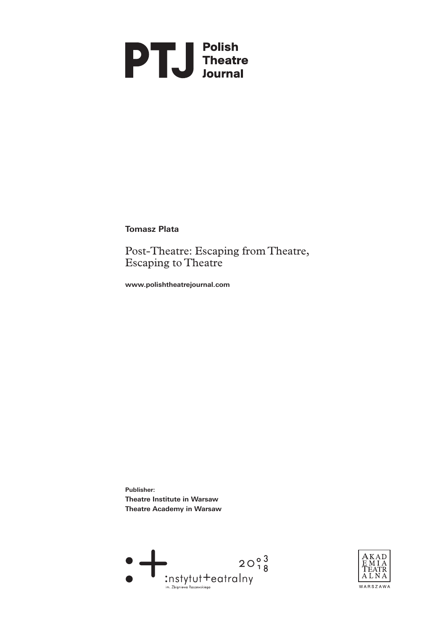# **PTU** Polish<br>
Theatre<br>
Journal

**Tomasz Plata**

Post-Theatre: Escaping from Theatre, Escaping to Theatre

**[www.polishtheatrejournal.com](http://www.polishtheatrejournal.com/index.php/ptj/article/view/157/671)**

**Publisher: Theatre Institute in Warsaw Theatre Academy in Warsaw** 



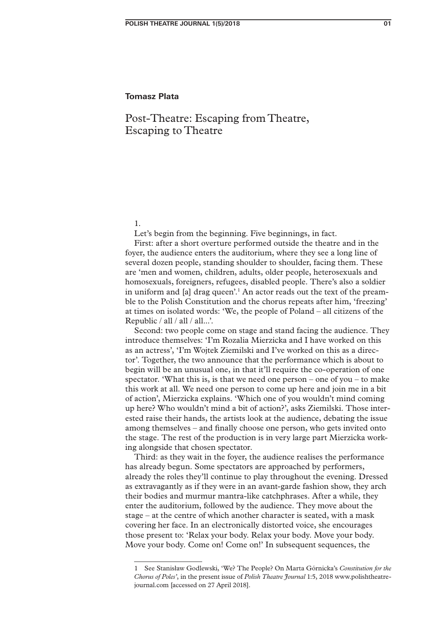# Post-Theatre: Escaping from Theatre, Escaping to Theatre

1.

Let's begin from the beginning. Five beginnings, in fact.

First: after a short overture performed outside the theatre and in the foyer, the audience enters the auditorium, where they see a long line of several dozen people, standing shoulder to shoulder, facing them. These are 'men and women, children, adults, older people, heterosexuals and homosexuals, foreigners, refugees, disabled people. There's also a soldier in uniform and [a] drag queen'.<sup>1</sup> An actor reads out the text of the preamble to the Polish Constitution and the chorus repeats after him, 'freezing' at times on isolated words: 'We, the people of Poland – all citizens of the Republic / all / all / all...'.

Second: two people come on stage and stand facing the audience. They introduce themselves: 'I'm Rozalia Mierzicka and I have worked on this as an actress', 'I'm Wojtek Ziemilski and I've worked on this as a director'. Together, the two announce that the performance which is about to begin will be an unusual one, in that it'll require the co-operation of one spectator. 'What this is, is that we need one person – one of you – to make this work at all. We need one person to come up here and join me in a bit of action', Mierzicka explains. 'Which one of you wouldn't mind coming up here? Who wouldn't mind a bit of action?', asks Ziemilski. Those interested raise their hands, the artists look at the audience, debating the issue among themselves – and finally choose one person, who gets invited onto the stage. The rest of the production is in very large part Mierzicka working alongside that chosen spectator.

Third: as they wait in the foyer, the audience realises the performance has already begun. Some spectators are approached by performers, already the roles they'll continue to play throughout the evening. Dressed as extravagantly as if they were in an avant-garde fashion show, they arch their bodies and murmur mantra-like catchphrases. After a while, they enter the auditorium, followed by the audience. They move about the stage – at the centre of which another character is seated, with a mask covering her face. In an electronically distorted voice, she encourages those present to: 'Relax your body. Relax your body. Move your body. Move your body. Come on! Come on!' In subsequent sequences, the

<sup>1</sup> See Stanisław Godlewski, 'We? The People? On Marta Górnicka's *Constitution for the Chorus of Poles'*, in the present issue of *Polish Theatre Journal* 1:5, 2018 www.polishtheatrejournal.com [accessed on 27 April 2018].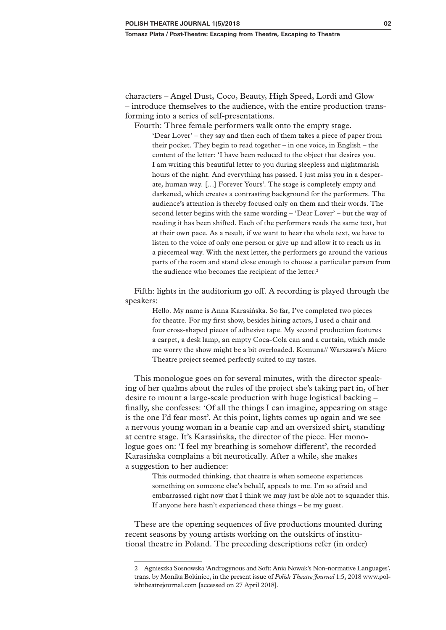characters – Angel Dust, Coco, Beauty, High Speed, Lordi and Glow – introduce themselves to the audience, with the entire production transforming into a series of self-presentations.

Fourth: Three female performers walk onto the empty stage.

'Dear Lover' – they say and then each of them takes a piece of paper from their pocket. They begin to read together – in one voice, in English – the content of the letter: 'I have been reduced to the object that desires you. I am writing this beautiful letter to you during sleepless and nightmarish hours of the night. And everything has passed. I just miss you in a desperate, human way. […] Forever Yours'. The stage is completely empty and darkened, which creates a contrasting background for the performers. The audience's attention is thereby focused only on them and their words. The second letter begins with the same wording – 'Dear Lover' – but the way of reading it has been shifted. Each of the performers reads the same text, but at their own pace. As a result, if we want to hear the whole text, we have to listen to the voice of only one person or give up and allow it to reach us in a piecemeal way. With the next letter, the performers go around the various parts of the room and stand close enough to choose a particular person from the audience who becomes the recipient of the letter.<sup>2</sup>

Fifth: lights in the auditorium go off. A recording is played through the speakers:

> Hello. My name is Anna Karasińska. So far, I've completed two pieces for theatre. For my first show, besides hiring actors, I used a chair and four cross-shaped pieces of adhesive tape. My second production features a carpet, a desk lamp, an empty Coca-Cola can and a curtain, which made me worry the show might be a bit overloaded. Komuna// Warszawa's Micro Theatre project seemed perfectly suited to my tastes.

This monologue goes on for several minutes, with the director speaking of her qualms about the rules of the project she's taking part in, of her desire to mount a large-scale production with huge logistical backing – finally, she confesses: 'Of all the things I can imagine, appearing on stage is the one I'd fear most'. At this point, lights comes up again and we see a nervous young woman in a beanie cap and an oversized shirt, standing at centre stage. It's Karasińska, the director of the piece. Her monologue goes on: 'I feel my breathing is somehow different', the recorded Karasińska complains a bit neurotically. After a while, she makes a suggestion to her audience:

> This outmoded thinking, that theatre is when someone experiences something on someone else's behalf, appeals to me. I'm so afraid and embarrassed right now that I think we may just be able not to squander this. If anyone here hasn't experienced these things – be my guest.

These are the opening sequences of five productions mounted during recent seasons by young artists working on the outskirts of institutional theatre in Poland. The preceding descriptions refer (in order)

<sup>2</sup> Agnieszka Sosnowska 'Androgynous and Soft: Ania Nowak's Non-normative Languages', trans. by Monika Bokiniec, in the present issue of *Polish Theatre Journal* 1:5, 2018 www.polishtheatrejournal.com [accessed on 27 April 2018].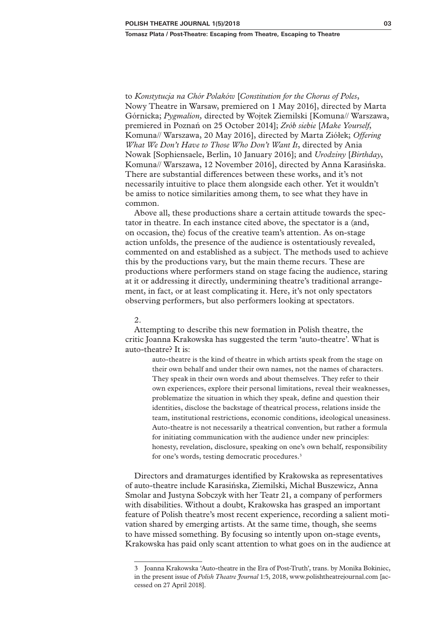to *Konstytucja na Chór Polaków* [*Constitution for the Chorus of Poles*, Nowy Theatre in Warsaw, premiered on 1 May 2016], directed by Marta Górnicka; *Pygmalion,* directed by Wojtek Ziemilski [Komuna// Warszawa, premiered in Poznań on 25 October 2014]; *Zrób siebie* [*Make Yourself*, Komuna// Warszawa, 20 May 2016], directed by Marta Ziółek; *Offering What We Don't Have to Those Who Don't Want It*, directed by Ania Nowak [Sophiensaele, Berlin, 10 January 2016]; and *Urodziny* [*Birthday*, Komuna// Warszawa, 12 November 2016], directed by Anna Karasińska. There are substantial differences between these works, and it's not necessarily intuitive to place them alongside each other. Yet it wouldn't be amiss to notice similarities among them, to see what they have in common.

Above all, these productions share a certain attitude towards the spectator in theatre. In each instance cited above, the spectator is a (and, on occasion, the) focus of the creative team's attention. As on-stage action unfolds, the presence of the audience is ostentatiously revealed, commented on and established as a subject. The methods used to achieve this by the productions vary, but the main theme recurs. These are productions where performers stand on stage facing the audience, staring at it or addressing it directly, undermining theatre's traditional arrangement, in fact, or at least complicating it. Here, it's not only spectators observing performers, but also performers looking at spectators.

### 2.

Attempting to describe this new formation in Polish theatre, the critic Joanna Krakowska has suggested the term 'auto-theatre'. What is auto-theatre? It is:

> auto-theatre is the kind of theatre in which artists speak from the stage on their own behalf and under their own names, not the names of characters. They speak in their own words and about themselves. They refer to their own experiences, explore their personal limitations, reveal their weaknesses, problematize the situation in which they speak, define and question their identities, disclose the backstage of theatrical process, relations inside the team, institutional restrictions, economic conditions, ideological uneasiness. Auto-theatre is not necessarily a theatrical convention, but rather a formula for initiating communication with the audience under new principles: honesty, revelation, disclosure, speaking on one's own behalf, responsibility for one's words, testing democratic procedures.3

Directors and dramaturges identified by Krakowska as representatives of auto-theatre include Karasińska, Ziemilski, Michał Buszewicz, Anna Smolar and Justyna Sobczyk with her Teatr 21, a company of performers with disabilities. Without a doubt, Krakowska has grasped an important feature of Polish theatre's most recent experience, recording a salient motivation shared by emerging artists. At the same time, though, she seems to have missed something. By focusing so intently upon on-stage events, Krakowska has paid only scant attention to what goes on in the audience at

<sup>3</sup> Joanna Krakowska 'Auto-theatre in the Era of Post-Truth', trans. by Monika Bokiniec, in the present issue of *Polish Theatre Journal* 1:5, 2018, [www.polishtheatrejournal.com](http://www.polishtheatrejournal.com) [accessed on 27 April 2018].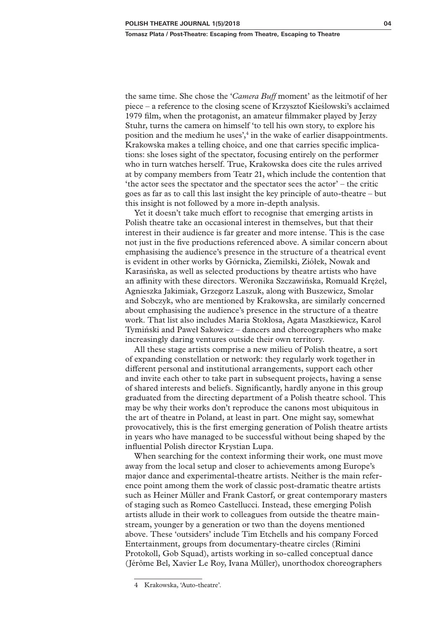the same time. She chose the '*Camera Buff* moment' as the leitmotif of her piece – a reference to the closing scene of Krzysztof Kieślowski's acclaimed 1979 film, when the protagonist, an amateur filmmaker played by Jerzy Stuhr, turns the camera on himself 'to tell his own story, to explore his position and the medium he uses',<sup>4</sup> in the wake of earlier disappointments. Krakowska makes a telling choice, and one that carries specific implications: she loses sight of the spectator, focusing entirely on the performer who in turn watches herself. True, Krakowska does cite the rules arrived at by company members from Teatr 21, which include the contention that 'the actor sees the spectator and the spectator sees the actor' – the critic goes as far as to call this last insight the key principle of auto-theatre – but this insight is not followed by a more in-depth analysis.

Yet it doesn't take much effort to recognise that emerging artists in Polish theatre take an occasional interest in themselves, but that their interest in their audience is far greater and more intense. This is the case not just in the five productions referenced above. A similar concern about emphasising the audience's presence in the structure of a theatrical event is evident in other works by Górnicka, Ziemilski, Ziółek, Nowak and Karasińska, as well as selected productions by theatre artists who have an affinity with these directors. Weronika Szczawińska, Romuald Krężel, Agnieszka Jakimiak, Grzegorz Laszuk, along with Buszewicz, Smolar and Sobczyk, who are mentioned by Krakowska, are similarly concerned about emphasising the audience's presence in the structure of a theatre work. That list also includes Maria Stokłosa, Agata Maszkiewicz, Karol Tymiński and Paweł Sakowicz – dancers and choreographers who make increasingly daring ventures outside their own territory.

All these stage artists comprise a new milieu of Polish theatre, a sort of expanding constellation or network: they regularly work together in different personal and institutional arrangements, support each other and invite each other to take part in subsequent projects, having a sense of shared interests and beliefs. Significantly, hardly anyone in this group graduated from the directing department of a Polish theatre school. This may be why their works don't reproduce the canons most ubiquitous in the art of theatre in Poland, at least in part. One might say, somewhat provocatively, this is the first emerging generation of Polish theatre artists in years who have managed to be successful without being shaped by the influential Polish director Krystian Lupa.

When searching for the context informing their work, one must move away from the local setup and closer to achievements among Europe's major dance and experimental-theatre artists. Neither is the main reference point among them the work of classic post-dramatic theatre artists such as Heiner Müller and Frank Castorf, or great contemporary masters of staging such as Romeo Castellucci. Instead, these emerging Polish artists allude in their work to colleagues from outside the theatre mainstream, younger by a generation or two than the doyens mentioned above. These 'outsiders' include Tim Etchells and his company Forced Entertainment, groups from documentary-theatre circles (Rimini Protokoll, Gob Squad), artists working in so-called conceptual dance (Jérôme Bel, Xavier Le Roy, Ivana Müller), unorthodox choreographers

<sup>4</sup> Krakowska, 'Auto-theatre'.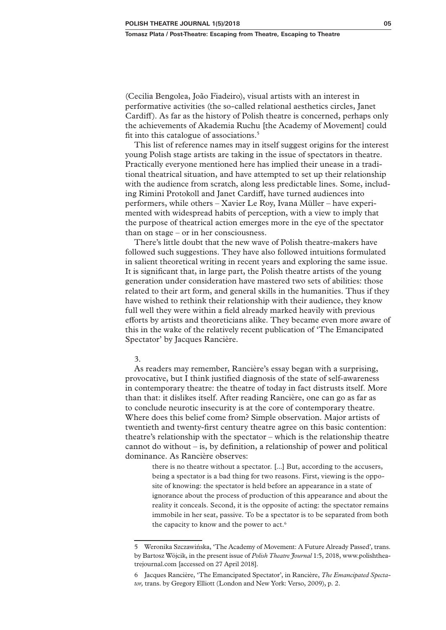(Cecilia Bengolea, João Fiadeiro), visual artists with an interest in performative activities (the so-called relational aesthetics circles, Janet Cardiff). As far as the history of Polish theatre is concerned, perhaps only the achievements of Akademia Ruchu [the Academy of Movement] could fit into this catalogue of associations.5

This list of reference names may in itself suggest origins for the interest young Polish stage artists are taking in the issue of spectators in theatre. Practically everyone mentioned here has implied their unease in a traditional theatrical situation, and have attempted to set up their relationship with the audience from scratch, along less predictable lines. Some, including Rimini Protokoll and Janet Cardiff, have turned audiences into performers, while others – Xavier Le Roy, Ivana Müller – have experimented with widespread habits of perception, with a view to imply that the purpose of theatrical action emerges more in the eye of the spectator than on stage – or in her consciousness.

There's little doubt that the new wave of Polish theatre-makers have followed such suggestions. They have also followed intuitions formulated in salient theoretical writing in recent years and exploring the same issue. It is significant that, in large part, the Polish theatre artists of the young generation under consideration have mastered two sets of abilities: those related to their art form, and general skills in the humanities. Thus if they have wished to rethink their relationship with their audience, they know full well they were within a field already marked heavily with previous efforts by artists and theoreticians alike. They became even more aware of this in the wake of the relatively recent publication of 'The Emancipated Spectator' by Jacques Rancière.

3.

As readers may remember, Rancière's essay began with a surprising, provocative, but I think justified diagnosis of the state of self-awareness in contemporary theatre: the theatre of today in fact distrusts itself. More than that: it dislikes itself. After reading Rancière, one can go as far as to conclude neurotic insecurity is at the core of contemporary theatre. Where does this belief come from? Simple observation. Major artists of twentieth and twenty-first century theatre agree on this basic contention: theatre's relationship with the spectator – which is the relationship theatre cannot do without  $-$  is, by definition, a relationship of power and political dominance. As Rancière observes:

there is no theatre without a spectator. [...] But, according to the accusers, being a spectator is a bad thing for two reasons. First, viewing is the opposite of knowing: the spectator is held before an appearance in a state of ignorance about the process of production of this appearance and about the reality it conceals. Second, it is the opposite of acting: the spectator remains immobile in her seat, passive. To be a spectator is to be separated from both the capacity to know and the power to act.<sup>6</sup>

<sup>5</sup> Weronika Szczawińska, 'The Academy of Movement: A Future Already Passed', trans. by Bartosz Wójcik, in the present issue of *Polish Theatre Journal* 1:5, 2018, [www.polishthea](http://www.polishtheatrejournal.com)[trejournal.com](http://www.polishtheatrejournal.com) [accessed on 27 April 2018].

<sup>6</sup> Jacques Rancière, 'The Emancipated Spectator', in Rancière, *The Emancipated Spectator,* trans. by Gregory Elliott (London and New York: Verso, 2009), p. 2.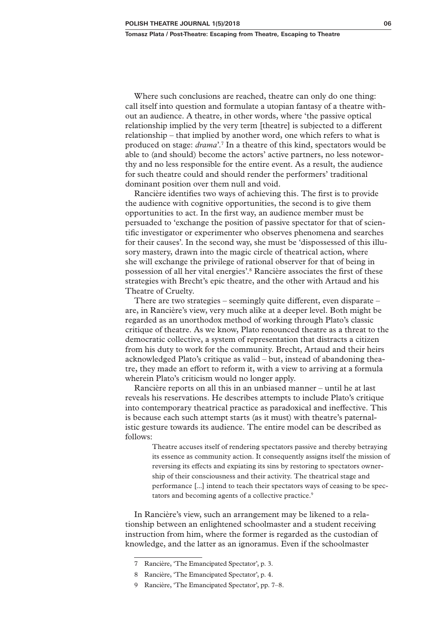Where such conclusions are reached, theatre can only do one thing: call itself into question and formulate a utopian fantasy of a theatre without an audience. A theatre, in other words, where 'the passive optical relationship implied by the very term [theatre] is subjected to a different relationship – that implied by another word, one which refers to what is produced on stage: *drama*'.7 In a theatre of this kind, spectators would be able to (and should) become the actors' active partners, no less noteworthy and no less responsible for the entire event. As a result, the audience for such theatre could and should render the performers' traditional dominant position over them null and void.

Rancière identifies two ways of achieving this. The first is to provide the audience with cognitive opportunities, the second is to give them opportunities to act. In the first way, an audience member must be persuaded to 'exchange the position of passive spectator for that of scientific investigator or experimenter who observes phenomena and searches for their causes'. In the second way, she must be 'dispossessed of this illusory mastery, drawn into the magic circle of theatrical action, where she will exchange the privilege of rational observer for that of being in possession of all her vital energies'.8 Rancière associates the first of these strategies with Brecht's epic theatre, and the other with Artaud and his Theatre of Cruelty.

There are two strategies – seemingly quite different, even disparate – are, in Rancière's view, very much alike at a deeper level. Both might be regarded as an unorthodox method of working through Plato's classic critique of theatre. As we know, Plato renounced theatre as a threat to the democratic collective, a system of representation that distracts a citizen from his duty to work for the community. Brecht, Artaud and their heirs acknowledged Plato's critique as valid – but, instead of abandoning theatre, they made an effort to reform it, with a view to arriving at a formula wherein Plato's criticism would no longer apply.

Rancière reports on all this in an unbiased manner – until he at last reveals his reservations. He describes attempts to include Plato's critique into contemporary theatrical practice as paradoxical and ineffective. This is because each such attempt starts (as it must) with theatre's paternalistic gesture towards its audience. The entire model can be described as follows:

> Theatre accuses itself of rendering spectators passive and thereby betraying its essence as community action. It consequently assigns itself the mission of reversing its effects and expiating its sins by restoring to spectators ownership of their consciousness and their activity. The theatrical stage and performance [...] intend to teach their spectators ways of ceasing to be spectators and becoming agents of a collective practice.<sup>9</sup>

In Rancière's view, such an arrangement may be likened to a relationship between an enlightened schoolmaster and a student receiving instruction from him, where the former is regarded as the custodian of knowledge, and the latter as an ignoramus. Even if the schoolmaster

<sup>7</sup> Rancière, 'The Emancipated Spectator', p. 3.

<sup>8</sup> Rancière, 'The Emancipated Spectator', p. 4.

<sup>9</sup> Rancière, 'The Emancipated Spectator', pp. 7–8.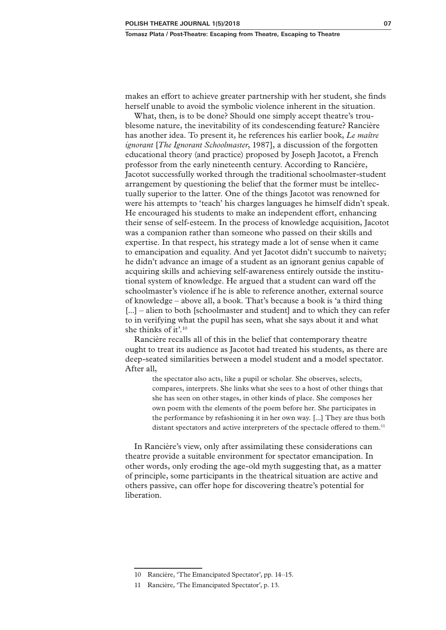makes an effort to achieve greater partnership with her student, she finds herself unable to avoid the symbolic violence inherent in the situation.

What, then, is to be done? Should one simply accept theatre's troublesome nature, the inevitability of its condescending feature? Rancière has another idea. To present it, he references his earlier book, *Le maître ignorant* [*The Ignorant Schoolmaster*, 1987], a discussion of the forgotten educational theory (and practice) proposed by Joseph Jacotot, a French professor from the early nineteenth century. According to Rancière, Jacotot successfully worked through the traditional schoolmaster-student arrangement by questioning the belief that the former must be intellectually superior to the latter. One of the things Jacotot was renowned for were his attempts to 'teach' his charges languages he himself didn't speak. He encouraged his students to make an independent effort, enhancing their sense of self-esteem. In the process of knowledge acquisition, Jacotot was a companion rather than someone who passed on their skills and expertise. In that respect, his strategy made a lot of sense when it came to emancipation and equality. And yet Jacotot didn't succumb to naivety; he didn't advance an image of a student as an ignorant genius capable of acquiring skills and achieving self-awareness entirely outside the institutional system of knowledge. He argued that a student can ward off the schoolmaster's violence if he is able to reference another, external source of knowledge – above all, a book. That's because a book is 'a third thing [...] – alien to both [schoolmaster and student] and to which they can refer to in verifying what the pupil has seen, what she says about it and what she thinks of it'.10

Rancière recalls all of this in the belief that contemporary theatre ought to treat its audience as Jacotot had treated his students, as there are deep-seated similarities between a model student and a model spectator. After all,

> the spectator also acts, like a pupil or scholar. She observes, selects, compares, interprets. She links what she sees to a host of other things that she has seen on other stages, in other kinds of place. She composes her own poem with the elements of the poem before her. She participates in the performance by refashioning it in her own way. [...] They are thus both distant spectators and active interpreters of the spectacle offered to them.<sup>11</sup>

In Rancière's view, only after assimilating these considerations can theatre provide a suitable environment for spectator emancipation. In other words, only eroding the age-old myth suggesting that, as a matter of principle, some participants in the theatrical situation are active and others passive, can offer hope for discovering theatre's potential for liberation.

<sup>10</sup> Rancière, 'The Emancipated Spectator', pp. 14–15.

<sup>11</sup> Rancière, 'The Emancipated Spectator', p. 13.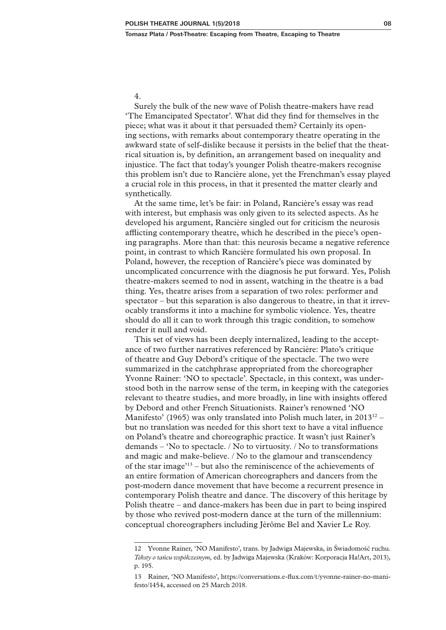# 4.

Surely the bulk of the new wave of Polish theatre-makers have read 'The Emancipated Spectator'. What did they find for themselves in the piece; what was it about it that persuaded them? Certainly its opening sections, with remarks about contemporary theatre operating in the awkward state of self-dislike because it persists in the belief that the theatrical situation is, by definition, an arrangement based on inequality and injustice. The fact that today's younger Polish theatre-makers recognise this problem isn't due to Rancière alone, yet the Frenchman's essay played a crucial role in this process, in that it presented the matter clearly and synthetically.

At the same time, let's be fair: in Poland, Rancière's essay was read with interest, but emphasis was only given to its selected aspects. As he developed his argument, Rancière singled out for criticism the neurosis afflicting contemporary theatre, which he described in the piece's opening paragraphs. More than that: this neurosis became a negative reference point, in contrast to which Rancière formulated his own proposal. In Poland, however, the reception of Rancière's piece was dominated by uncomplicated concurrence with the diagnosis he put forward. Yes, Polish theatre-makers seemed to nod in assent, watching in the theatre is a bad thing. Yes, theatre arises from a separation of two roles: performer and spectator – but this separation is also dangerous to theatre, in that it irrevocably transforms it into a machine for symbolic violence. Yes, theatre should do all it can to work through this tragic condition, to somehow render it null and void.

This set of views has been deeply internalized, leading to the acceptance of two further narratives referenced by Rancière: Plato's critique of theatre and Guy Debord's critique of the spectacle. The two were summarized in the catchphrase appropriated from the choreographer Yvonne Rainer: 'NO to spectacle'. Spectacle, in this context, was understood both in the narrow sense of the term, in keeping with the categories relevant to theatre studies, and more broadly, in line with insights offered by Debord and other French Situationists. Rainer's renowned 'NO Manifesto' (1965) was only translated into Polish much later, in  $2013^{12}$  – but no translation was needed for this short text to have a vital influence on Poland's theatre and choreographic practice. It wasn't just Rainer's demands – 'No to spectacle. / No to virtuosity. / No to transformations and magic and make-believe. / No to the glamour and transcendency of the star image'13 – but also the reminiscence of the achievements of an entire formation of American choreographers and dancers from the post-modern dance movement that have become a recurrent presence in contemporary Polish theatre and dance. The discovery of this heritage by Polish theatre – and dance-makers has been due in part to being inspired by those who revived post-modern dance at the turn of the millennium: conceptual choreographers including Jérôme Bel and Xavier Le Roy.

<sup>12</sup> Yvonne Rainer, 'NO Manifesto', trans. by Jadwiga Majewska, in Świadomość ruchu. *Teksty o tańcu współczesnym,* ed. by Jadwiga Majewska (Kraków: Korporacja Ha!Art, 2013), p. 195.

<sup>13</sup> Rainer, 'NO Manifesto', [https://conversations.e-flux.com/t/yvonne-rainer-no-mani](https://conversations.e-flux.com/t/yvonne-rainer-no-manifesto/1454)[festo/1454,](https://conversations.e-flux.com/t/yvonne-rainer-no-manifesto/1454) accessed on 25 March 2018.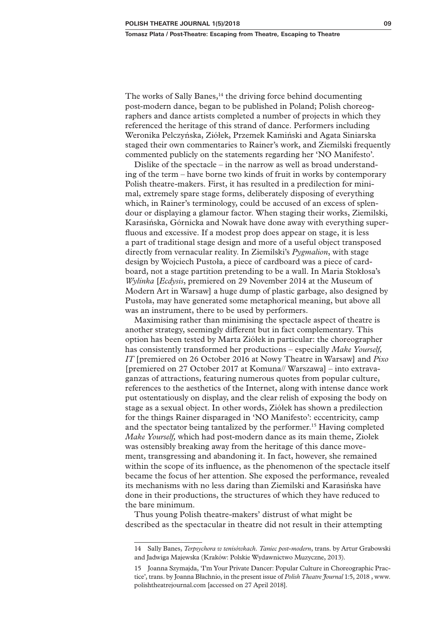The works of Sally Banes,<sup>14</sup> the driving force behind documenting post-modern dance, began to be published in Poland; Polish choreographers and dance artists completed a number of projects in which they referenced the heritage of this strand of dance. Performers including Weronika Pelczyńska, Ziółek, Przemek Kamiński and Agata Siniarska staged their own commentaries to Rainer's work, and Ziemilski frequently commented publicly on the statements regarding her 'NO Manifesto'.

Dislike of the spectacle – in the narrow as well as broad understanding of the term – have borne two kinds of fruit in works by contemporary Polish theatre-makers. First, it has resulted in a predilection for minimal, extremely spare stage forms, deliberately disposing of everything which, in Rainer's terminology, could be accused of an excess of splendour or displaying a glamour factor. When staging their works, Ziemilski, Karasińska, Górnicka and Nowak have done away with everything superfluous and excessive. If a modest prop does appear on stage, it is less a part of traditional stage design and more of a useful object transposed directly from vernacular reality. In Ziemilski's *Pygmalion*, with stage design by Wojciech Pustoła, a piece of cardboard was a piece of cardboard, not a stage partition pretending to be a wall. In Maria Stokłosa's *Wylinka* [*Ecdysis*, premiered on 29 November 2014 at the Museum of Modern Art in Warsaw] a huge dump of plastic garbage, also designed by Pustoła, may have generated some metaphorical meaning, but above all was an instrument, there to be used by performers.

Maximising rather than minimising the spectacle aspect of theatre is another strategy, seemingly different but in fact complementary. This option has been tested by Marta Ziółek in particular: the choreographer has consistently transformed her productions – especially *Make Yourself, IT* [premiered on 26 October 2016 at Nowy Theatre in Warsaw] and *Pixo* [premiered on 27 October 2017 at Komuna// Warszawa] – into extravaganzas of attractions, featuring numerous quotes from popular culture, references to the aesthetics of the Internet, along with intense dance work put ostentatiously on display, and the clear relish of exposing the body on stage as a sexual object. In other words, Ziółek has shown a predilection for the things Rainer disparaged in 'NO Manifesto': eccentricity, camp and the spectator being tantalized by the performer.15 Having completed *Make Yourself,* which had post-modern dance as its main theme, Ziołek was ostensibly breaking away from the heritage of this dance movement, transgressing and abandoning it. In fact, however, she remained within the scope of its influence, as the phenomenon of the spectacle itself became the focus of her attention. She exposed the performance, revealed its mechanisms with no less daring than Ziemilski and Karasińska have done in their productions, the structures of which they have reduced to the bare minimum.

Thus young Polish theatre-makers' distrust of what might be described as the spectacular in theatre did not result in their attempting

<sup>14</sup> Sally Banes, *Terpsychora w tenisówkach. Taniec post-modern*, trans. by Artur Grabowski and Jadwiga Majewska (Kraków: Polskie Wydawnictwo Muzyczne, 2013).

<sup>15</sup> Joanna Szymajda, 'I'm Your Private Dancer: Popular Culture in Choreographic Practice', trans. by Joanna Błachnio, in the present issue of *Polish Theatre Journal* 1:5, 2018 , [www.](http://www.polishtheatrejournal.com) [polishtheatrejournal.com](http://www.polishtheatrejournal.com) [accessed on 27 April 2018].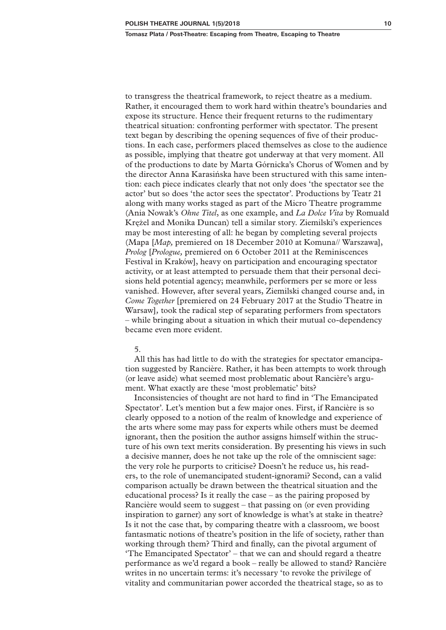to transgress the theatrical framework, to reject theatre as a medium. Rather, it encouraged them to work hard within theatre's boundaries and expose its structure. Hence their frequent returns to the rudimentary theatrical situation: confronting performer with spectator. The present text began by describing the opening sequences of five of their productions. In each case, performers placed themselves as close to the audience as possible, implying that theatre got underway at that very moment. All of the productions to date by Marta Górnicka's Chorus of Women and by the director Anna Karasińska have been structured with this same intention: each piece indicates clearly that not only does 'the spectator see the actor' but so does 'the actor sees the spectator'. Productions by Teatr 21 along with many works staged as part of the Micro Theatre programme (Ania Nowak's *Ohne Titel*, as one example, and *La Dolce Vita* by Romuald Krężel and Monika Duncan) tell a similar story. Ziemilski's experiences may be most interesting of all: he began by completing several projects (Mapa [*Map,* premiered on 18 December 2010 at Komuna// Warszawa], *Prolog* [*Prologue,* premiered on 6 October 2011 at the Reminiscences Festival in Kraków], heavy on participation and encouraging spectator activity, or at least attempted to persuade them that their personal decisions held potential agency; meanwhile, performers per se more or less vanished. However, after several years, Ziemilski changed course and, in *Come Together* [premiered on 24 February 2017 at the Studio Theatre in Warsaw]*,* took the radical step of separating performers from spectators – while bringing about a situation in which their mutual co-dependency became even more evident.

### 5.

All this has had little to do with the strategies for spectator emancipation suggested by Rancière. Rather, it has been attempts to work through (or leave aside) what seemed most problematic about Rancière's argument. What exactly are these 'most problematic' bits?

Inconsistencies of thought are not hard to find in 'The Emancipated Spectator'. Let's mention but a few major ones. First, if Rancière is so clearly opposed to a notion of the realm of knowledge and experience of the arts where some may pass for experts while others must be deemed ignorant, then the position the author assigns himself within the structure of his own text merits consideration. By presenting his views in such a decisive manner, does he not take up the role of the omniscient sage: the very role he purports to criticise? Doesn't he reduce us, his readers, to the role of unemancipated student-ignorami? Second, can a valid comparison actually be drawn between the theatrical situation and the educational process? Is it really the case – as the pairing proposed by Rancière would seem to suggest – that passing on (or even providing inspiration to garner) any sort of knowledge is what's at stake in theatre? Is it not the case that, by comparing theatre with a classroom, we boost fantasmatic notions of theatre's position in the life of society, rather than working through them? Third and finally, can the pivotal argument of 'The Emancipated Spectator' – that we can and should regard a theatre performance as we'd regard a book – really be allowed to stand? Rancière writes in no uncertain terms: it's necessary 'to revoke the privilege of vitality and communitarian power accorded the theatrical stage, so as to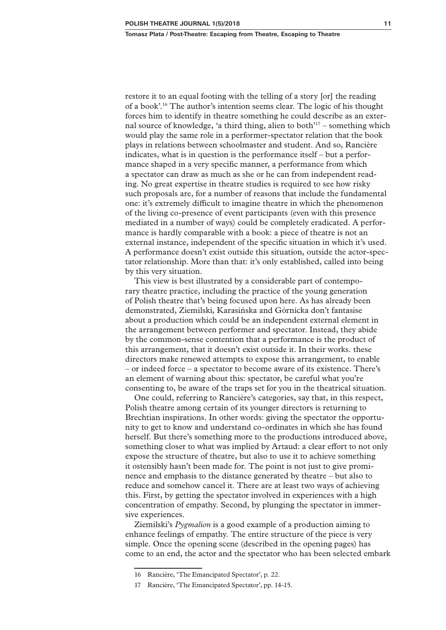restore it to an equal footing with the telling of a story [or] the reading of a book'.16 The author's intention seems clear. The logic of his thought forces him to identify in theatre something he could describe as an external source of knowledge, 'a third thing, alien to both $i^{17}$  – something which would play the same role in a performer-spectator relation that the book plays in relations between schoolmaster and student. And so, Rancière indicates, what is in question is the performance itself – but a performance shaped in a very specific manner, a performance from which a spectator can draw as much as she or he can from independent reading. No great expertise in theatre studies is required to see how risky such proposals are, for a number of reasons that include the fundamental one: it's extremely difficult to imagine theatre in which the phenomenon of the living co-presence of event participants (even with this presence mediated in a number of ways) could be completely eradicated. A performance is hardly comparable with a book: a piece of theatre is not an external instance, independent of the specific situation in which it's used. A performance doesn't exist outside this situation, outside the actor-spectator relationship. More than that: it's only established, called into being by this very situation.

This view is best illustrated by a considerable part of contemporary theatre practice, including the practice of the young generation of Polish theatre that's being focused upon here. As has already been demonstrated, Ziemilski, Karasińska and Górnicka don't fantasise about a production which could be an independent external element in the arrangement between performer and spectator. Instead, they abide by the common-sense contention that a performance is the product of this arrangement, that it doesn't exist outside it. In their works. these directors make renewed attempts to expose this arrangement, to enable – or indeed force – a spectator to become aware of its existence. There's an element of warning about this: spectator, be careful what you're consenting to, be aware of the traps set for you in the theatrical situation.

One could, referring to Rancière's categories, say that, in this respect, Polish theatre among certain of its younger directors is returning to Brechtian inspirations. In other words: giving the spectator the opportunity to get to know and understand co-ordinates in which she has found herself. But there's something more to the productions introduced above, something closer to what was implied by Artaud: a clear effort to not only expose the structure of theatre, but also to use it to achieve something it ostensibly hasn't been made for. The point is not just to give prominence and emphasis to the distance generated by theatre – but also to reduce and somehow cancel it. There are at least two ways of achieving this. First, by getting the spectator involved in experiences with a high concentration of empathy. Second, by plunging the spectator in immersive experiences.

Ziemilski's *Pygmalion* is a good example of a production aiming to enhance feelings of empathy. The entire structure of the piece is very simple. Once the opening scene (described in the opening pages) has come to an end, the actor and the spectator who has been selected embark

<sup>16</sup> Rancière, 'The Emancipated Spectator', p. 22.

<sup>17</sup> Rancière, 'The Emancipated Spectator', pp. 14-15.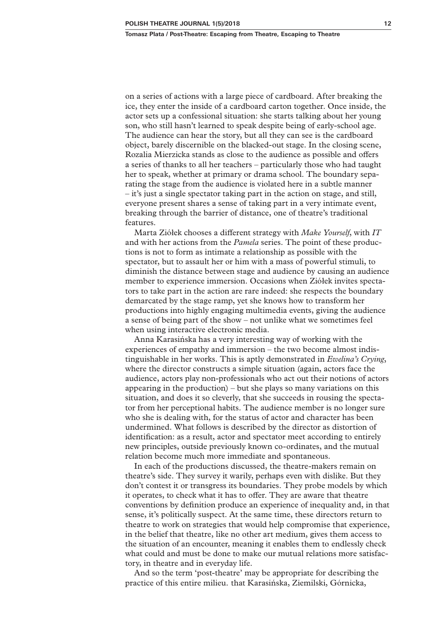on a series of actions with a large piece of cardboard. After breaking the ice, they enter the inside of a cardboard carton together. Once inside, the actor sets up a confessional situation: she starts talking about her young son, who still hasn't learned to speak despite being of early-school age. The audience can hear the story, but all they can see is the cardboard object, barely discernible on the blacked-out stage. In the closing scene, Rozalia Mierzicka stands as close to the audience as possible and offers a series of thanks to all her teachers – particularly those who had taught her to speak, whether at primary or drama school. The boundary separating the stage from the audience is violated here in a subtle manner – it's just a single spectator taking part in the action on stage, and still, everyone present shares a sense of taking part in a very intimate event, breaking through the barrier of distance, one of theatre's traditional features.

Marta Ziółek chooses a different strategy with *Make Yourself*, with *IT* and with her actions from the *Pamela* series. The point of these productions is not to form as intimate a relationship as possible with the spectator, but to assault her or him with a mass of powerful stimuli, to diminish the distance between stage and audience by causing an audience member to experience immersion. Occasions when Ziółek invites spectators to take part in the action are rare indeed: she respects the boundary demarcated by the stage ramp, yet she knows how to transform her productions into highly engaging multimedia events, giving the audience a sense of being part of the show – not unlike what we sometimes feel when using interactive electronic media.

Anna Karasińska has a very interesting way of working with the experiences of empathy and immersion – the two become almost indistinguishable in her works. This is aptly demonstrated in *Ewelina's Crying*, where the director constructs a simple situation (again, actors face the audience, actors play non-professionals who act out their notions of actors appearing in the production) – but she plays so many variations on this situation, and does it so cleverly, that she succeeds in rousing the spectator from her perceptional habits. The audience member is no longer sure who she is dealing with, for the status of actor and character has been undermined. What follows is described by the director as distortion of identification: as a result, actor and spectator meet according to entirely new principles, outside previously known co-ordinates, and the mutual relation become much more immediate and spontaneous.

In each of the productions discussed, the theatre-makers remain on theatre's side. They survey it warily, perhaps even with dislike. But they don't contest it or transgress its boundaries. They probe models by which it operates, to check what it has to offer. They are aware that theatre conventions by definition produce an experience of inequality and, in that sense, it's politically suspect. At the same time, these directors return to theatre to work on strategies that would help compromise that experience, in the belief that theatre, like no other art medium, gives them access to the situation of an encounter, meaning it enables them to endlessly check what could and must be done to make our mutual relations more satisfactory, in theatre and in everyday life.

And so the term 'post-theatre' may be appropriate for describing the practice of this entire milieu*.* that Karasińska, Ziemilski, Górnicka,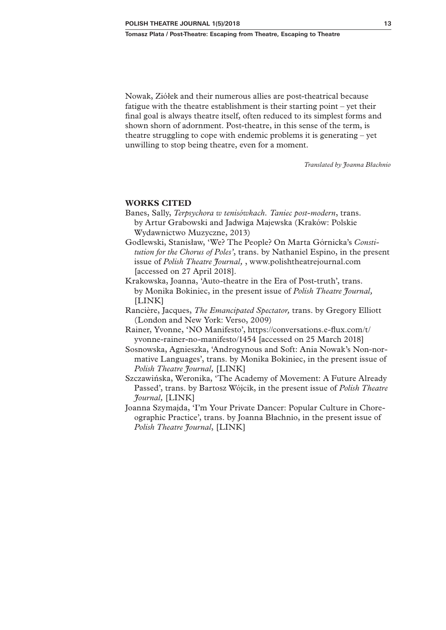Nowak, Ziółek and their numerous allies are post-theatrical because fatigue with the theatre establishment is their starting point – yet their final goal is always theatre itself, often reduced to its simplest forms and shown shorn of adornment. Post-theatre, in this sense of the term, is theatre struggling to cope with endemic problems it is generating – yet unwilling to stop being theatre, even for a moment.

*Translated by Joanna Błachnio*

# **WORKS CITED**

- Banes, Sally, *Terpsychora w tenisówkach. Taniec post-modern*, trans. by Artur Grabowski and Jadwiga Majewska (Kraków: Polskie Wydawnictwo Muzyczne, 2013)
- Godlewski, Stanisław, 'We? The People? On Marta Górnicka's *Constitution for the Chorus of Poles'*, trans. by Nathaniel Espino, in the present issue of *Polish Theatre Journal,* , [www.polishtheatrejournal.com](http://www.polishtheatrejournal.com) [accessed on 27 April 2018].
- Krakowska, Joanna, 'Auto-theatre in the Era of Post-truth', trans. by Monika Bokiniec, in the present issue of *Polish Theatre Journal,* [LINK]
- Rancière, Jacques, *The Emancipated Spectator,* trans. by Gregory Elliott (London and New York: Verso, 2009)
- Rainer, Yvonne, 'NO Manifesto', [https://conversations.e-flux.com/t/](https://conversations.e-flux.com/t/yvonne-rainer-no-manifesto/1454) [yvonne-rainer-no-manifesto/1454](https://conversations.e-flux.com/t/yvonne-rainer-no-manifesto/1454) [accessed on 25 March 2018]
- Sosnowska, Agnieszka, 'Androgynous and Soft: Ania Nowak's Non-normative Languages', trans. by Monika Bokiniec, in the present issue of *Polish Theatre Journal,* [LINK]
- Szczawińska, Weronika, 'The Academy of Movement: A Future Already Passed', trans. by Bartosz Wójcik, in the present issue of *Polish Theatre Journal,* [LINK]
- Joanna Szymajda, 'I'm Your Private Dancer: Popular Culture in Choreographic Practice', trans. by Joanna Błachnio, in the present issue of *Polish Theatre Journal*, [LINK]